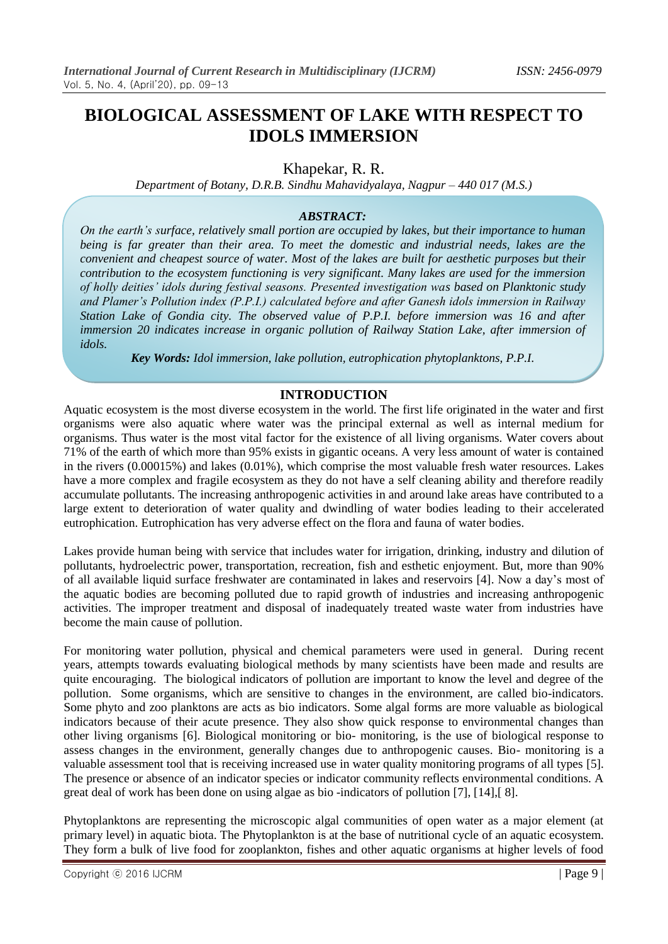# **BIOLOGICAL ASSESSMENT OF LAKE WITH RESPECT TO IDOLS IMMERSION**

# Khapekar, R. R.

*Department of Botany, D.R.B. Sindhu Mahavidyalaya, Nagpur – 440 017 (M.S.)*

#### *ABSTRACT:*

*On the earth's surface, relatively small portion are occupied by lakes, but their importance to human being is far greater than their area. To meet the domestic and industrial needs, lakes are the convenient and cheapest source of water. Most of the lakes are built for aesthetic purposes but their contribution to the ecosystem functioning is very significant. Many lakes are used for the immersion of holly deities' idols during festival seasons. Presented investigation was based on Planktonic study and Plamer's Pollution index (P.P.I.) calculated before and after Ganesh idols immersion in Railway Station Lake of Gondia city. The observed value of P.P.I. before immersion was 16 and after immersion 20 indicates increase in organic pollution of Railway Station Lake, after immersion of idols.*

*Key Words: Idol immersion, lake pollution, eutrophication phytoplanktons, P.P.I.*

# **INTRODUCTION**

Aquatic ecosystem is the most diverse ecosystem in the world. The first life originated in the water and first organisms were also aquatic where water was the principal external as well as internal medium for organisms. Thus water is the most vital factor for the existence of all living organisms. Water covers about 71% of the earth of which more than 95% exists in gigantic oceans. A very less amount of water is contained in the rivers (0.00015%) and lakes (0.01%), which comprise the most valuable fresh water resources. Lakes have a more complex and fragile ecosystem as they do not have a self cleaning ability and therefore readily accumulate pollutants. The increasing anthropogenic activities in and around lake areas have contributed to a large extent to deterioration of water quality and dwindling of water bodies leading to their accelerated eutrophication. Eutrophication has very adverse effect on the flora and fauna of water bodies.

Lakes provide human being with service that includes water for irrigation, drinking, industry and dilution of pollutants, hydroelectric power, transportation, recreation, fish and esthetic enjoyment. But, more than 90% of all available liquid surface freshwater are contaminated in lakes and reservoirs [4]. Now a day"s most of the aquatic bodies are becoming polluted due to rapid growth of industries and increasing anthropogenic activities. The improper treatment and disposal of inadequately treated waste water from industries have become the main cause of pollution.

For monitoring water pollution, physical and chemical parameters were used in general. During recent years, attempts towards evaluating biological methods by many scientists have been made and results are quite encouraging. The biological indicators of pollution are important to know the level and degree of the pollution. Some organisms, which are sensitive to changes in the environment, are called bio-indicators. Some phyto and zoo planktons are acts as bio indicators. Some algal forms are more valuable as biological indicators because of their acute presence. They also show quick response to environmental changes than other living organisms [6]. Biological monitoring or bio- monitoring, is the use of biological response to assess changes in the environment, generally changes due to anthropogenic causes. Bio- monitoring is a valuable assessment tool that is receiving increased use in water quality monitoring programs of all types [5]. The presence or absence of an indicator species or indicator community reflects environmental conditions. A great deal of work has been done on using algae as bio -indicators of pollution [7], [14],[ 8].

Phytoplanktons are representing the microscopic algal communities of open water as a major element (at primary level) in aquatic biota. The Phytoplankton is at the base of nutritional cycle of an aquatic ecosystem. They form a bulk of live food for zooplankton, fishes and other aquatic organisms at higher levels of food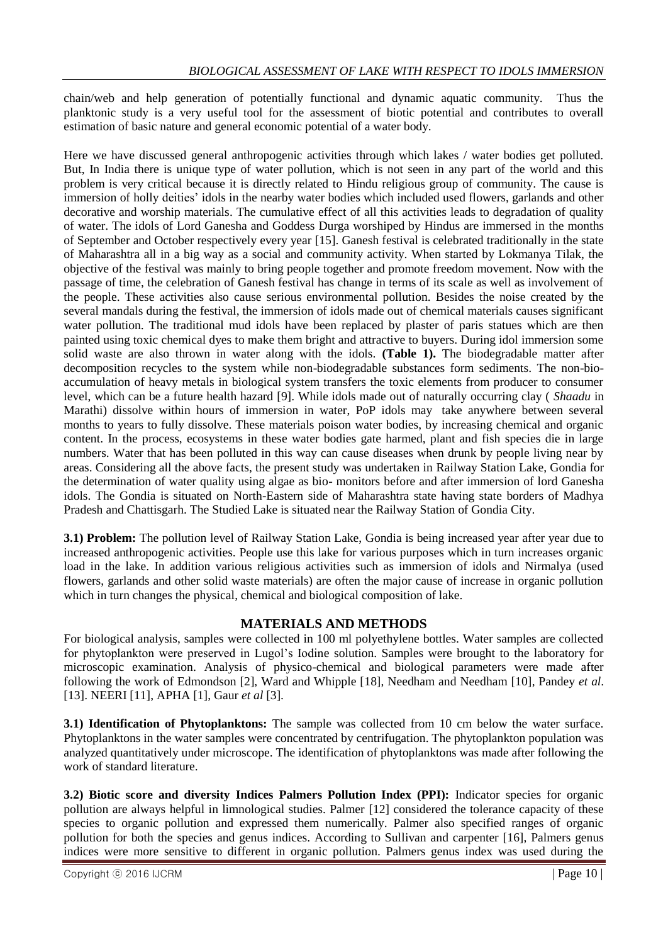chain/web and help generation of potentially functional and dynamic aquatic community. Thus the planktonic study is a very useful tool for the assessment of biotic potential and contributes to overall estimation of basic nature and general economic potential of a water body.

Here we have discussed general anthropogenic activities through which lakes / water bodies get polluted. But, In India there is unique type of water pollution, which is not seen in any part of the world and this problem is very critical because it is directly related to Hindu religious group of community. The cause is immersion of holly deities" idols in the nearby water bodies which included used flowers, garlands and other decorative and worship materials. The cumulative effect of all this activities leads to degradation of quality of water. The idols of Lord Ganesha and Goddess Durga worshiped by Hindus are immersed in the months of September and October respectively every year [15]. Ganesh festival is celebrated traditionally in the state of Maharashtra all in a big way as a social and community activity. When started by Lokmanya Tilak, the objective of the festival was mainly to bring people together and promote freedom movement. Now with the passage of time, the celebration of Ganesh festival has change in terms of its scale as well as involvement of the people. These activities also cause serious environmental pollution. Besides the noise created by the several mandals during the festival, the immersion of idols made out of chemical materials causes significant water pollution. The traditional mud idols have been replaced by plaster of paris statues which are then painted using toxic chemical dyes to make them bright and attractive to buyers. During idol immersion some solid waste are also thrown in water along with the idols. **(Table 1).** The biodegradable matter after decomposition recycles to the system while non-biodegradable substances form sediments. The non-bioaccumulation of heavy metals in biological system transfers the toxic elements from producer to consumer level, which can be a future health hazard [9]. While idols made out of naturally occurring clay ( *Shaadu* in Marathi) dissolve within hours of immersion in water, PoP idols may take anywhere between several months to years to fully dissolve. These materials poison water bodies, by increasing chemical and organic content. In the process, ecosystems in these water bodies gate harmed, plant and fish species die in large numbers. Water that has been polluted in this way can cause diseases when drunk by people living near by areas. Considering all the above facts, the present study was undertaken in Railway Station Lake, Gondia for the determination of water quality using algae as bio- monitors before and after immersion of lord Ganesha idols. The Gondia is situated on North-Eastern side of Maharashtra state having state borders of Madhya Pradesh and Chattisgarh. The Studied Lake is situated near the Railway Station of Gondia City.

**3.1) Problem:** The pollution level of Railway Station Lake, Gondia is being increased year after year due to increased anthropogenic activities. People use this lake for various purposes which in turn increases organic load in the lake. In addition various religious activities such as immersion of idols and Nirmalya (used flowers, garlands and other solid waste materials) are often the major cause of increase in organic pollution which in turn changes the physical, chemical and biological composition of lake.

# **MATERIALS AND METHODS**

For biological analysis, samples were collected in 100 ml polyethylene bottles. Water samples are collected for phytoplankton were preserved in Lugol"s Iodine solution. Samples were brought to the laboratory for microscopic examination. Analysis of physico-chemical and biological parameters were made after following the work of Edmondson [2], Ward and Whipple [18], Needham and Needham [10], Pandey *et al*. [13]. NEERI [11], APHA [1], Gaur *et al* [3].

**3.1) Identification of Phytoplanktons:** The sample was collected from 10 cm below the water surface. Phytoplanktons in the water samples were concentrated by centrifugation. The phytoplankton population was analyzed quantitatively under microscope. The identification of phytoplanktons was made after following the work of standard literature.

**3.2) Biotic score and diversity Indices Palmers Pollution Index (PPI):** Indicator species for organic pollution are always helpful in limnological studies. Palmer [12] considered the tolerance capacity of these species to organic pollution and expressed them numerically. Palmer also specified ranges of organic pollution for both the species and genus indices. According to Sullivan and carpenter [16], Palmers genus indices were more sensitive to different in organic pollution. Palmers genus index was used during the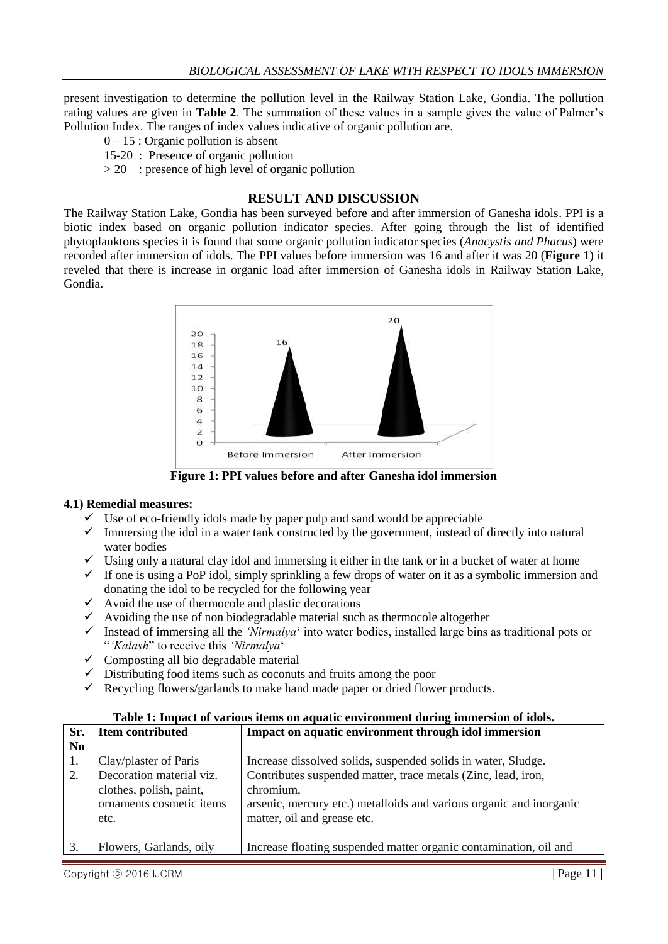present investigation to determine the pollution level in the Railway Station Lake, Gondia. The pollution rating values are given in **Table 2**. The summation of these values in a sample gives the value of Palmer"s Pollution Index. The ranges of index values indicative of organic pollution are.

- $0 15$ : Organic pollution is absent
- 15-20 : Presence of organic pollution
- $> 20$ : presence of high level of organic pollution

### **RESULT AND DISCUSSION**

The Railway Station Lake, Gondia has been surveyed before and after immersion of Ganesha idols. PPI is a biotic index based on organic pollution indicator species. After going through the list of identified phytoplanktons species it is found that some organic pollution indicator species (*Anacystis and Phacus*) were recorded after immersion of idols. The PPI values before immersion was 16 and after it was 20 (**Figure 1**) it reveled that there is increase in organic load after immersion of Ganesha idols in Railway Station Lake, Gondia.



**Figure 1: PPI values before and after Ganesha idol immersion**

#### **4.1) Remedial measures:**

- $\checkmark$  Use of eco-friendly idols made by paper pulp and sand would be appreciable
- $\checkmark$  Immersing the idol in a water tank constructed by the government, instead of directly into natural water bodies
- $\checkmark$  Using only a natural clay idol and immersing it either in the tank or in a bucket of water at home
- $\checkmark$  If one is using a PoP idol, simply sprinkling a few drops of water on it as a symbolic immersion and donating the idol to be recycled for the following year
- $\checkmark$  Avoid the use of thermocole and plastic decorations
- $\checkmark$  Avoiding the use of non biodegradable material such as thermocole altogether
- Instead of immersing all the *'Nirmalya*' into water bodies, installed large bins as traditional pots or "*'Kalash*" to receive this *'Nirmalya*"
- $\checkmark$  Composting all bio degradable material
- $\checkmark$  Distributing food items such as coconuts and fruits among the poor
- $\checkmark$  Recycling flowers/garlands to make hand made paper or dried flower products.

| Sr.            | Item contributed                                                                        | Impact on aquatic environment through idol immersion                                                                                                                             |  |
|----------------|-----------------------------------------------------------------------------------------|----------------------------------------------------------------------------------------------------------------------------------------------------------------------------------|--|
| N <sub>0</sub> |                                                                                         |                                                                                                                                                                                  |  |
| 1.             | Clay/plaster of Paris                                                                   | Increase dissolved solids, suspended solids in water, Sludge.                                                                                                                    |  |
| 2.             | Decoration material viz.<br>clothes, polish, paint,<br>ornaments cosmetic items<br>etc. | Contributes suspended matter, trace metals (Zinc, lead, iron,<br>chromium,<br>arsenic, mercury etc.) metalloids and various organic and inorganic<br>matter, oil and grease etc. |  |
|                | Flowers, Garlands, oily                                                                 | Increase floating suspended matter organic contamination, oil and                                                                                                                |  |

#### **Table 1: Impact of various items on aquatic environment during immersion of idols.**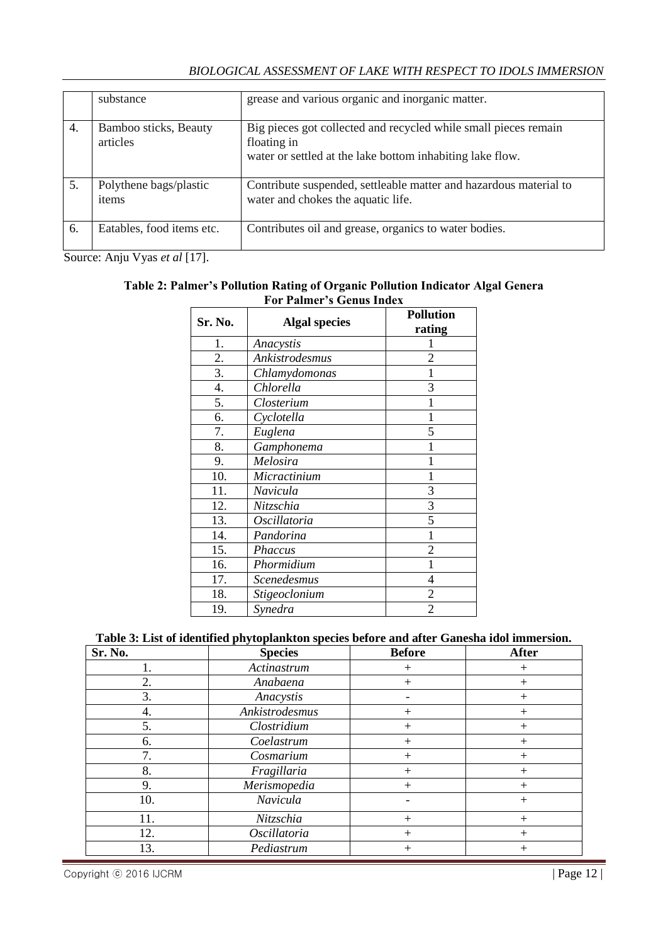|--|

|    | substance                         | grease and various organic and inorganic matter.                                                                                            |
|----|-----------------------------------|---------------------------------------------------------------------------------------------------------------------------------------------|
| 4. | Bamboo sticks, Beauty<br>articles | Big pieces got collected and recycled while small pieces remain<br>floating in<br>water or settled at the lake bottom inhabiting lake flow. |
| 5. | Polythene bags/plastic<br>items   | Contribute suspended, settleable matter and hazardous material to<br>water and chokes the aquatic life.                                     |
| 6. | Eatables, food items etc.         | Contributes oil and grease, organics to water bodies.                                                                                       |

Source: Anju Vyas *et al* [17].

#### **Table 2: Palmer's Pollution Rating of Organic Pollution Indicator Algal Genera For Palmer's Genus Index**

| Sr. No. | <b>Algal species</b> | <b>Pollution</b> |
|---------|----------------------|------------------|
|         |                      | rating           |
| 1.      | Anacystis            |                  |
| 2.      | Ankistrodesmus       | 2                |
| 3.      | Chlamydomonas        |                  |
| 4.      | Chlorella            | 3                |
| 5.      | Closterium           |                  |
| 6.      | Cyclotella           | 1                |
| 7.      | Euglena              | 5                |
| 8.      | Gamphonema           |                  |
| 9.      | Melosira             |                  |
| 10.     | Micractinium         | 1                |
| 11.     | Navicula             | 3                |
| 12.     | Nitzschia            | 3                |
| 13.     | Oscillatoria         | 5                |
| 14.     | Pandorina            | 1                |
| 15.     | Phaccus              | $\overline{2}$   |
| 16.     | Phormidium           | 1                |
| 17.     | Scenedesmus          | 4                |
| 18.     | Stigeoclonium        | $\overline{2}$   |
| 19.     | Synedra              | $\overline{2}$   |

# **Table 3: List of identified phytoplankton species before and after Ganesha idol immersion.**

| Sr. No. | <b>Species</b> | <b>Before</b> | <b>After</b> |
|---------|----------------|---------------|--------------|
| 1.      | Actinastrum    | $+$           | $^{+}$       |
| 2.      | Anabaena       | $+$           |              |
| 3.      | Anacystis      |               | $^+$         |
| 4.      | Ankistrodesmus | $^{+}$        | $^+$         |
| 5.      | Clostridium    | $+$           | $^+$         |
| 6.      | Coelastrum     | $+$           | $^{+}$       |
| 7.      | Cosmarium      | $+$           | $^{+}$       |
| 8.      | Fragillaria    | $+$           | $\,+\,$      |
| 9.      | Merismopedia   | $+$           | $^+$         |
| 10.     | Navicula       |               | $\,+\,$      |
| 11.     | Nitzschia      | $+$           | $+$          |
| 12.     | Oscillatoria   | $+$           |              |
| 13.     | Pediastrum     | $^{+}$        | $^+$         |